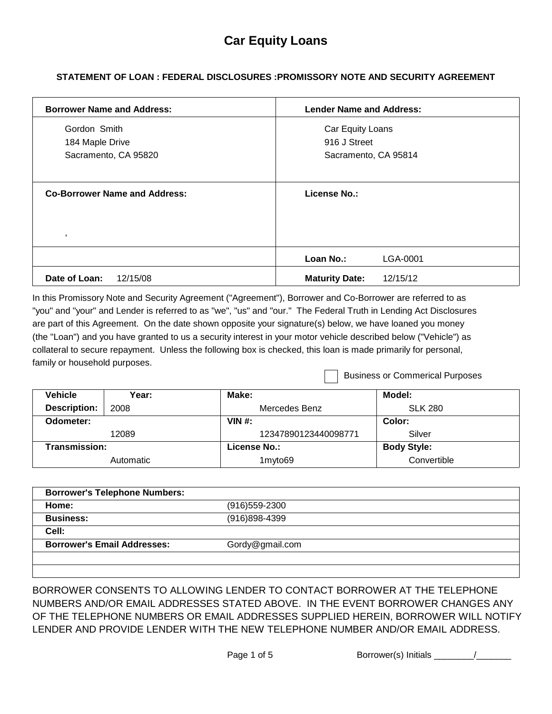# **STATEMENT OF LOAN : FEDERAL DISCLOSURES :PROMISSORY NOTE AND SECURITY AGREEMENT**

| <b>Borrower Name and Address:</b>               | <b>Lender Name and Address:</b>   |
|-------------------------------------------------|-----------------------------------|
| Gordon Smith                                    | Car Equity Loans                  |
| 184 Maple Drive                                 | 916 J Street                      |
| Sacramento, CA 95820                            | Sacramento, CA 95814              |
| <b>Co-Borrower Name and Address:</b><br>$\cdot$ | <b>License No.:</b>               |
|                                                 | Loan No.:<br>LGA-0001             |
| Date of Loan:<br>12/15/08                       | <b>Maturity Date:</b><br>12/15/12 |

In this Promissory Note and Security Agreement ("Agreement"), Borrower and Co-Borrower are referred to as "you" and "your" and Lender is referred to as "we", "us" and "our." The Federal Truth in Lending Act Disclosures are part of this Agreement. On the date shown opposite your signature(s) below, we have loaned you money (the "Loan") and you have granted to us a security interest in your motor vehicle described below ("Vehicle") as collateral to secure repayment. Unless the following box is checked, this loan is made primarily for personal, family or household purposes.

Business or Commerical Purposes

| <b>Vehicle</b>      | Year:     | Make:                | Model:             |
|---------------------|-----------|----------------------|--------------------|
| <b>Description:</b> | 2008      | Mercedes Benz        | <b>SLK 280</b>     |
| Odometer:           |           | VIN $#$ :            | Color:             |
|                     | 12089     | 12347890123440098771 | Silver             |
| Transmission:       |           | License No.:         | <b>Body Style:</b> |
|                     | Automatic | 1myto69              | Convertible        |

| Home:                              | $(916)$ 559-2300 |  |
|------------------------------------|------------------|--|
| <b>Business:</b>                   | $(916)898-4399$  |  |
| Cell:                              |                  |  |
| <b>Borrower's Email Addresses:</b> | Gordy@gmail.com  |  |
|                                    |                  |  |

BORROWER CONSENTS TO ALLOWING LENDER TO CONTACT BORROWER AT THE TELEPHONE NUMBERS AND/OR EMAIL ADDRESSES STATED ABOVE. IN THE EVENT BORROWER CHANGES ANY OF THE TELEPHONE NUMBERS OR EMAIL ADDRESSES SUPPLIED HEREIN, BORROWER WILL NOTIFY LENDER AND PROVIDE LENDER WITH THE NEW TELEPHONE NUMBER AND/OR EMAIL ADDRESS.

| Borrower(s) Initials |  |
|----------------------|--|
|----------------------|--|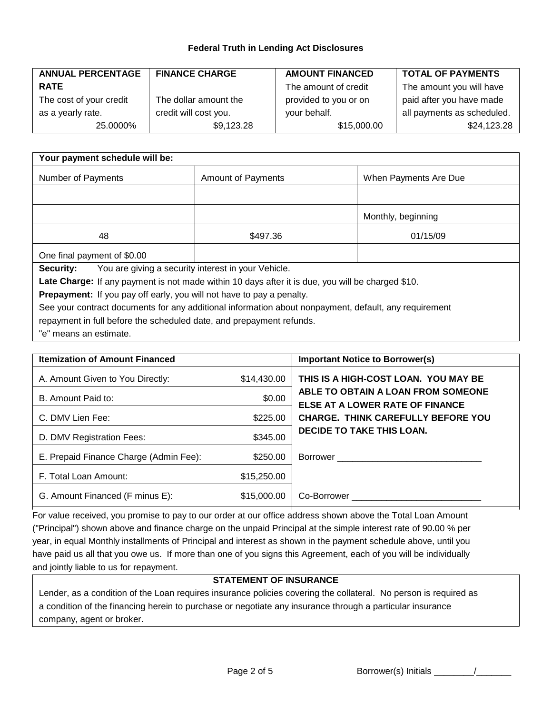#### **Federal Truth in Lending Act Disclosures**

| <b>ANNUAL PERCENTAGE</b> | <b>FINANCE CHARGE</b> | <b>AMOUNT FINANCED</b> | <b>TOTAL OF PAYMENTS</b>   |
|--------------------------|-----------------------|------------------------|----------------------------|
| <b>RATE</b>              |                       | The amount of credit   | The amount you will have   |
| The cost of your credit  | The dollar amount the | provided to you or on  | paid after you have made   |
| as a yearly rate.        | credit will cost you. | your behalf.           | all payments as scheduled. |
| 25.0000%                 | \$9,123.28            | \$15,000.00            | \$24,123.28                |

| Your payment schedule will be:                                                                                                                                        |                           |                       |  |
|-----------------------------------------------------------------------------------------------------------------------------------------------------------------------|---------------------------|-----------------------|--|
| Number of Payments                                                                                                                                                    | <b>Amount of Payments</b> | When Payments Are Due |  |
|                                                                                                                                                                       |                           |                       |  |
|                                                                                                                                                                       |                           | Monthly, beginning    |  |
| 48                                                                                                                                                                    | \$497.36                  | 01/15/09              |  |
| One final payment of \$0.00                                                                                                                                           |                           |                       |  |
| You are giving a security interest in your Vehicle.<br>Security:<br>Late Charge: If any payment is not made within 10 days after it is due, you will be charged \$10. |                           |                       |  |

Prepayment: If you pay off early, you will not have to pay a penalty.

See your contract documents for any additional information about nonpayment, default, any requirement repayment in full before the scheduled date, and prepayment refunds.

"e" means an estimate.

| <b>Itemization of Amount Financed</b>  |             | <b>Important Notice to Borrower(s)</b>                                |
|----------------------------------------|-------------|-----------------------------------------------------------------------|
| A. Amount Given to You Directly:       | \$14,430.00 | THIS IS A HIGH-COST LOAN. YOU MAY BE                                  |
| B. Amount Paid to:                     | \$0.00      | ABLE TO OBTAIN A LOAN FROM SOMEONE<br>ELSE AT A LOWER RATE OF FINANCE |
| C. DMV Lien Fee:                       | \$225.00    | <b>CHARGE. THINK CAREFULLY BEFORE YOU</b>                             |
| D. DMV Registration Fees:              | \$345.00    | <b>DECIDE TO TAKE THIS LOAN.</b>                                      |
| E. Prepaid Finance Charge (Admin Fee): | \$250.00    |                                                                       |
| F. Total Loan Amount:                  | \$15,250.00 |                                                                       |
| G. Amount Financed (F minus E):        | \$15,000.00 |                                                                       |

For value received, you promise to pay to our order at our office address shown above the Total Loan Amount ("Principal") shown above and finance charge on the unpaid Principal at the simple interest rate of 90.00 % per year, in equal Monthly installments of Principal and interest as shown in the payment schedule above, until you have paid us all that you owe us. If more than one of you signs this Agreement, each of you will be individually and jointly liable to us for repayment.

### **STATEMENT OF INSURANCE**

Lender, as a condition of the Loan requires insurance policies covering the collateral. No person is required as a condition of the financing herein to purchase or negotiate any insurance through a particular insurance company, agent or broker.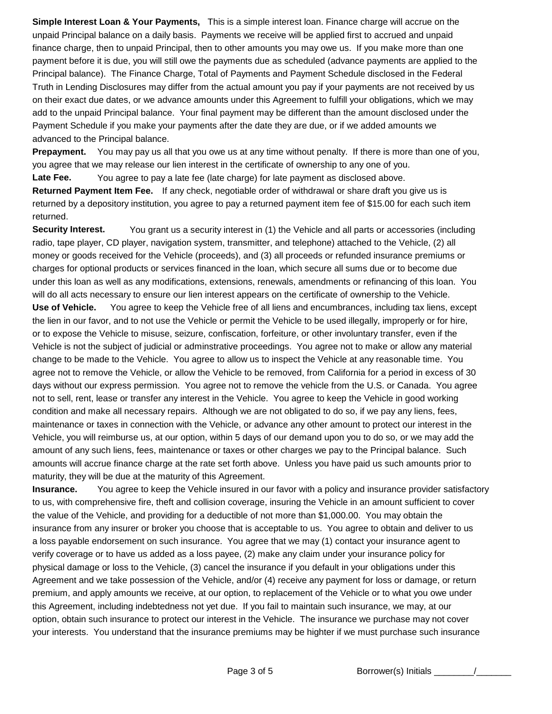**Simple Interest Loan & Your Payments,** This is a simple interest loan. Finance charge will accrue on the unpaid Principal balance on a daily basis. Payments we receive will be applied first to accrued and unpaid finance charge, then to unpaid Principal, then to other amounts you may owe us. If you make more than one payment before it is due, you will still owe the payments due as scheduled (advance payments are applied to the Principal balance). The Finance Charge, Total of Payments and Payment Schedule disclosed in the Federal Truth in Lending Disclosures may differ from the actual amount you pay if your payments are not received by us on their exact due dates, or we advance amounts under this Agreement to fulfill your obligations, which we may add to the unpaid Principal balance. Your final payment may be different than the amount disclosed under the Payment Schedule if you make your payments after the date they are due, or if we added amounts we advanced to the Principal balance.

**Prepayment.** You may pay us all that you owe us at any time without penalty. If there is more than one of you, you agree that we may release our lien interest in the certificate of ownership to any one of you.

Late Fee. You agree to pay a late fee (late charge) for late payment as disclosed above.

**Returned Payment Item Fee.** If any check, negotiable order of withdrawal or share draft you give us is returned by a depository institution, you agree to pay a returned payment item fee of \$15.00 for each such item returned.

**Security Interest.** You grant us a security interest in (1) the Vehicle and all parts or accessories (including radio, tape player, CD player, navigation system, transmitter, and telephone) attached to the Vehicle, (2) all money or goods received for the Vehicle (proceeds), and (3) all proceeds or refunded insurance premiums or charges for optional products or services financed in the loan, which secure all sums due or to become due under this loan as well as any modifications, extensions, renewals, amendments or refinancing of this loan. You will do all acts necessary to ensure our lien interest appears on the certificate of ownership to the Vehicle. **Use of Vehicle.** You agree to keep the Vehicle free of all liens and encumbrances, including tax liens, except the lien in our favor, and to not use the Vehicle or permit the Vehicle to be used illegally, improperly or for hire, or to expose the Vehicle to misuse, seizure, confiscation, forfeiture, or other involuntary transfer, even if the Vehicle is not the subject of judicial or adminstrative proceedings. You agree not to make or allow any material change to be made to the Vehicle. You agree to allow us to inspect the Vehicle at any reasonable time. You agree not to remove the Vehicle, or allow the Vehicle to be removed, from California for a period in excess of 30 days without our express permission. You agree not to remove the vehicle from the U.S. or Canada. You agree not to sell, rent, lease or transfer any interest in the Vehicle. You agree to keep the Vehicle in good working condition and make all necessary repairs. Although we are not obligated to do so, if we pay any liens, fees, maintenance or taxes in connection with the Vehicle, or advance any other amount to protect our interest in the Vehicle, you will reimburse us, at our option, within 5 days of our demand upon you to do so, or we may add the amount of any such liens, fees, maintenance or taxes or other charges we pay to the Principal balance. Such amounts will accrue finance charge at the rate set forth above. Unless you have paid us such amounts prior to maturity, they will be due at the maturity of this Agreement.

**Insurance.** You agree to keep the Vehicle insured in our favor with a policy and insurance provider satisfactory to us, with comprehensive fire, theft and collision coverage, insuring the Vehicle in an amount sufficient to cover the value of the Vehicle, and providing for a deductible of not more than \$1,000.00. You may obtain the insurance from any insurer or broker you choose that is acceptable to us. You agree to obtain and deliver to us a loss payable endorsement on such insurance. You agree that we may (1) contact your insurance agent to verify coverage or to have us added as a loss payee, (2) make any claim under your insurance policy for physical damage or loss to the Vehicle, (3) cancel the insurance if you default in your obligations under this Agreement and we take possession of the Vehicle, and/or (4) receive any payment for loss or damage, or return premium, and apply amounts we receive, at our option, to replacement of the Vehicle or to what you owe under this Agreement, including indebtedness not yet due. If you fail to maintain such insurance, we may, at our option, obtain such insurance to protect our interest in the Vehicle. The insurance we purchase may not cover your interests. You understand that the insurance premiums may be highter if we must purchase such insurance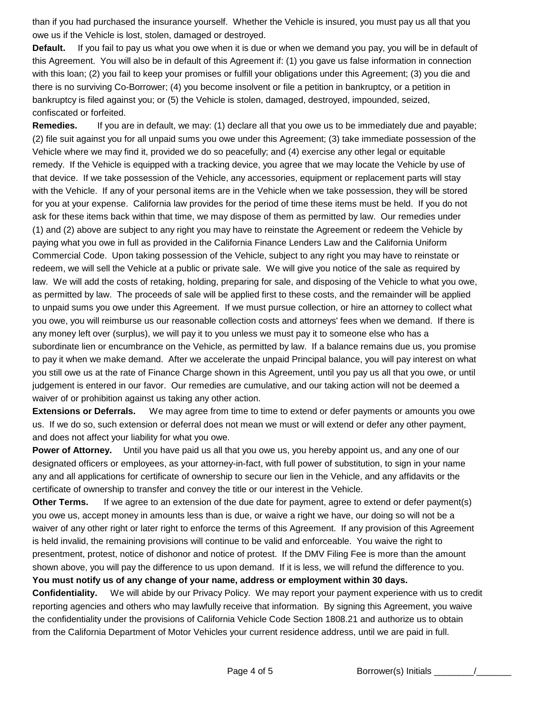than if you had purchased the insurance yourself. Whether the Vehicle is insured, you must pay us all that you owe us if the Vehicle is lost, stolen, damaged or destroyed.

**Default.** this Agreement. You will also be in default of this Agreement if: (1) you gave us false information in connection with this loan; (2) you fail to keep your promises or fulfill your obligations under this Agreement; (3) you die and there is no surviving Co-Borrower; (4) you become insolvent or file a petition in bankruptcy, or a petition in bankruptcy is filed against you; or (5) the Vehicle is stolen, damaged, destroyed, impounded, seized, confiscated or forfeited. If you fail to pay us what you owe when it is due or when we demand you pay, you will be in default of

**Remedies.** (2) file suit against you for all unpaid sums you owe under this Agreement; (3) take immediate possession of the Vehicle where we may find it, provided we do so peacefully; and (4) exercise any other legal or equitable remedy. If the Vehicle is equipped with a tracking device, you agree that we may locate the Vehicle by use of that device. If we take possession of the Vehicle, any accessories, equipment or replacement parts will stay with the Vehicle. If any of your personal items are in the Vehicle when we take possession, they will be stored for you at your expense. California law provides for the period of time these items must be held. If you do not ask for these items back within that time, we may dispose of them as permitted by law. Our remedies under (1) and (2) above are subject to any right you may have to reinstate the Agreement or redeem the Vehicle by paying what you owe in full as provided in the California Finance Lenders Law and the California Uniform Commercial Code. Upon taking possession of the Vehicle, subject to any right you may have to reinstate or redeem, we will sell the Vehicle at a public or private sale. We will give you notice of the sale as required by law. We will add the costs of retaking, holding, preparing for sale, and disposing of the Vehicle to what you owe, as permitted by law. The proceeds of sale will be applied first to these costs, and the remainder will be applied to unpaid sums you owe under this Agreement. If we must pursue collection, or hire an attorney to collect what you owe, you will reimburse us our reasonable collection costs and attorneys' fees when we demand. If there is any money left over (surplus), we will pay it to you unless we must pay it to someone else who has a subordinate lien or encumbrance on the Vehicle, as permitted by law. If a balance remains due us, you promise to pay it when we make demand. After we accelerate the unpaid Principal balance, you will pay interest on what you still owe us at the rate of Finance Charge shown in this Agreement, until you pay us all that you owe, or until judgement is entered in our favor. Our remedies are cumulative, and our taking action will not be deemed a waiver of or prohibition against us taking any other action. If you are in default, we may: (1) declare all that you owe us to be immediately due and payable;

**Extensions or Deferrals.** us. If we do so, such extension or deferral does not mean we must or will extend or defer any other payment, and does not affect your liability for what you owe. We may agree from time to time to extend or defer payments or amounts you owe

**Power of Attorney.** Until you have paid us all that you owe us, you hereby appoint us, and any one of our designated officers or employees, as your attorney-in-fact, with full power of substitution, to sign in your name any and all applications for certificate of ownership to secure our lien in the Vehicle, and any affidavits or the certificate of ownership to transfer and convey the title or our interest in the Vehicle.

**Other Terms.** you owe us, accept money in amounts less than is due, or waive a right we have, our doing so will not be a waiver of any other right or later right to enforce the terms of this Agreement. If any provision of this Agreement is held invalid, the remaining provisions will continue to be valid and enforceable. You waive the right to presentment, protest, notice of dishonor and notice of protest. If the DMV Filing Fee is more than the amount shown above, you will pay the difference to us upon demand. If it is less, we will refund the difference to you. **You must notify us of any change of your name, address or employment within 30 days.** If we agree to an extension of the due date for payment, agree to extend or defer payment(s)

**Confidentiality.** reporting agencies and others who may lawfully receive that information. By signing this Agreement, you waive the confidentiality under the provisions of California Vehicle Code Section 1808.21 and authorize us to obtain from the California Department of Motor Vehicles your current residence address, until we are paid in full. We will abide by our Privacy Policy. We may report your payment experience with us to credit